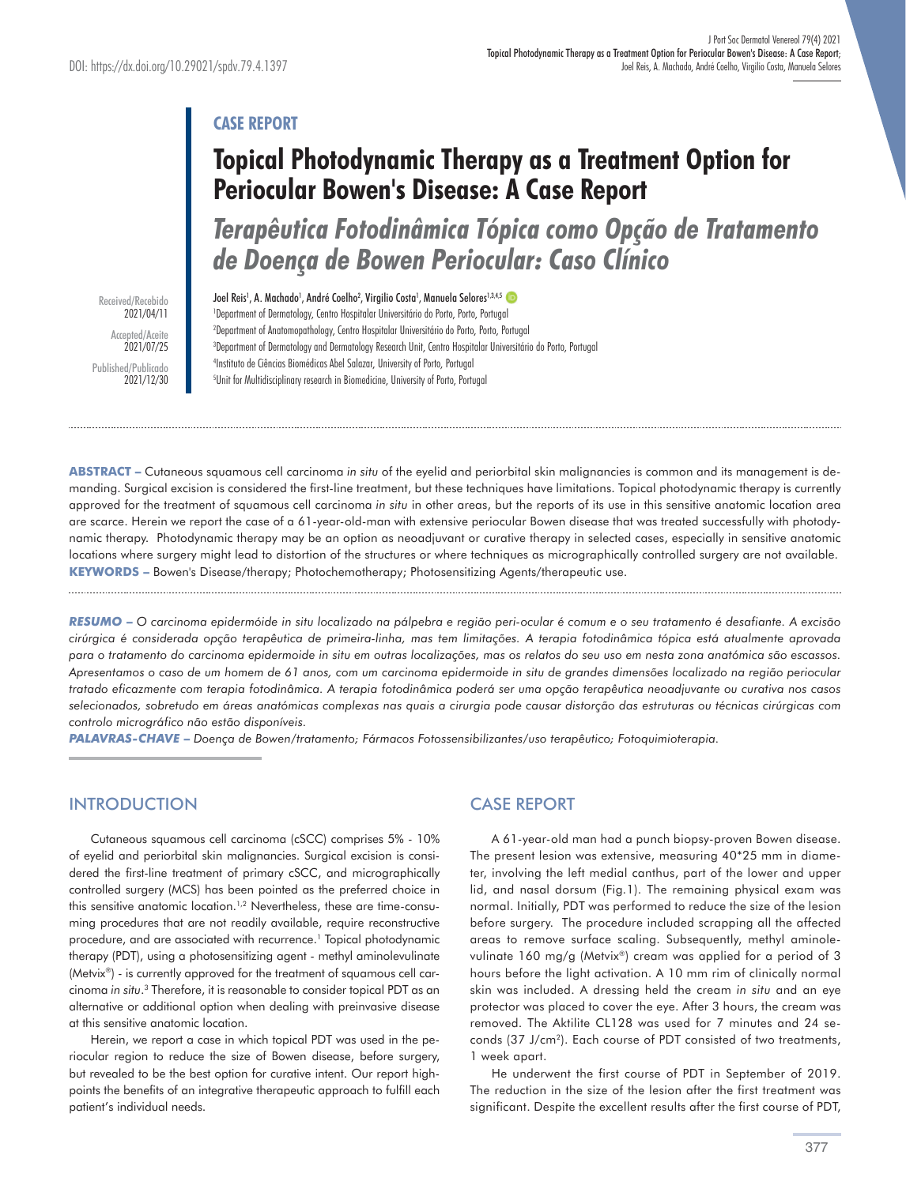## **CASE REPORT**

# **Topical Photodynamic Therapy as a Treatment Option for Periocular Bowen's Disease: A Case Report**

*Terapêutica Fotodinâmica Tópica como Opção de Tratamento de Doença de Bowen Periocular: Caso Clínico* 

Received/Recebido 2021/04/11 Accepted/Aceite 2021/07/25 Published/Publicado 2021/12/30 Joel Reis<sup>1</sup>, A. Machado<sup>1</sup>, André Coelho<sup>2</sup>, Virgilio Costa<sup>1</sup>, Manuela Selores<sup>1,3,4,5</sup> Department of Dermatology, Centro Hospitalar Universitário do Porto, Porto, Portugal Department of Anatomopathology, Centro Hospitalar Universitário do Porto, Porto, Portugal Department of Dermatology and Dermatology Research Unit, Centro Hospitalar Universitário do Porto, Portugal Instituto de Ciências Biomédicas Abel Salazar, University of Porto, Portugal Unit for Multidisciplinary research in Biomedicine, University of Porto, Portugal

**ABSTRACT –** Cutaneous squamous cell carcinoma *in situ* of the eyelid and periorbital skin malignancies is common and its management is demanding. Surgical excision is considered the first-line treatment, but these techniques have limitations. Topical photodynamic therapy is currently approved for the treatment of squamous cell carcinoma *in situ* in other areas, but the reports of its use in this sensitive anatomic location area are scarce. Herein we report the case of a 61-year-old-man with extensive periocular Bowen disease that was treated successfully with photodynamic therapy. Photodynamic therapy may be an option as neoadjuvant or curative therapy in selected cases, especially in sensitive anatomic locations where surgery might lead to distortion of the structures or where techniques as micrographically controlled surgery are not available. **KEYWORDS –** Bowen's Disease/therapy; Photochemotherapy; Photosensitizing Agents/therapeutic use.

*RESUMO* **–** *O carcinoma epidermóide in situ localizado na pálpebra e região peri-ocular é comum e o seu tratamento é desafiante. A excisão cirúrgica é considerada opção terapêutica de primeira-linha, mas tem limitações. A terapia fotodinâmica tópica está atualmente aprovada para o tratamento do carcinoma epidermoide in situ em outras localizações, mas os relatos do seu uso em nesta zona anatómica são escassos. Apresentamos o caso de um homem de 61 anos, com um carcinoma epidermoide in situ de grandes dimensões localizado na região periocular tratado eficazmente com terapia fotodinâmica. A terapia fotodinâmica poderá ser uma opção terapêutica neoadjuvante ou curativa nos casos selecionados, sobretudo em áreas anatómicas complexas nas quais a cirurgia pode causar distorção das estruturas ou técnicas cirúrgicas com controlo micrográfico não estão disponíveis.* 

*PALAVRAS-CHAVE* **–** *Doença de Bowen/tratamento; Fármacos Fotossensibilizantes/uso terapêutico; Fotoquimioterapia.*

## **INTRODUCTION**

Cutaneous squamous cell carcinoma (cSCC) comprises 5% - 10% of eyelid and periorbital skin malignancies. Surgical excision is considered the first-line treatment of primary cSCC, and micrographically controlled surgery (MCS) has been pointed as the preferred choice in this sensitive anatomic location.<sup>1,2</sup> Nevertheless, these are time-consuming procedures that are not readily available, require reconstructive procedure, and are associated with recurrence.<sup>1</sup> Topical photodynamic therapy (PDT), using a photosensitizing agent - methyl aminolevulinate (Metvix®) - is currently approved for the treatment of squamous cell carcinoma *in situ*. 3 Therefore, it is reasonable to consider topical PDT as an alternative or additional option when dealing with preinvasive disease at this sensitive anatomic location.

Herein, we report a case in which topical PDT was used in the periocular region to reduce the size of Bowen disease, before surgery, but revealed to be the best option for curative intent. Our report highpoints the benefits of an integrative therapeutic approach to fulfill each patient's individual needs.

## CASE REPORT

A 61-year-old man had a punch biopsy-proven Bowen disease. The present lesion was extensive, measuring 40\*25 mm in diameter, involving the left medial canthus, part of the lower and upper lid, and nasal dorsum (Fig.1). The remaining physical exam was normal. Initially, PDT was performed to reduce the size of the lesion before surgery. The procedure included scrapping all the affected areas to remove surface scaling. Subsequently, methyl aminolevulinate 160 mg/g (Metvix®) cream was applied for a period of 3 hours before the light activation. A 10 mm rim of clinically normal skin was included. A dressing held the cream *in situ* and an eye protector was placed to cover the eye. After 3 hours, the cream was removed. The Aktilite CL128 was used for 7 minutes and 24 seconds (37 J/cm2). Each course of PDT consisted of two treatments, 1 week apart.

He underwent the first course of PDT in September of 2019. The reduction in the size of the lesion after the first treatment was significant. Despite the excellent results after the first course of PDT,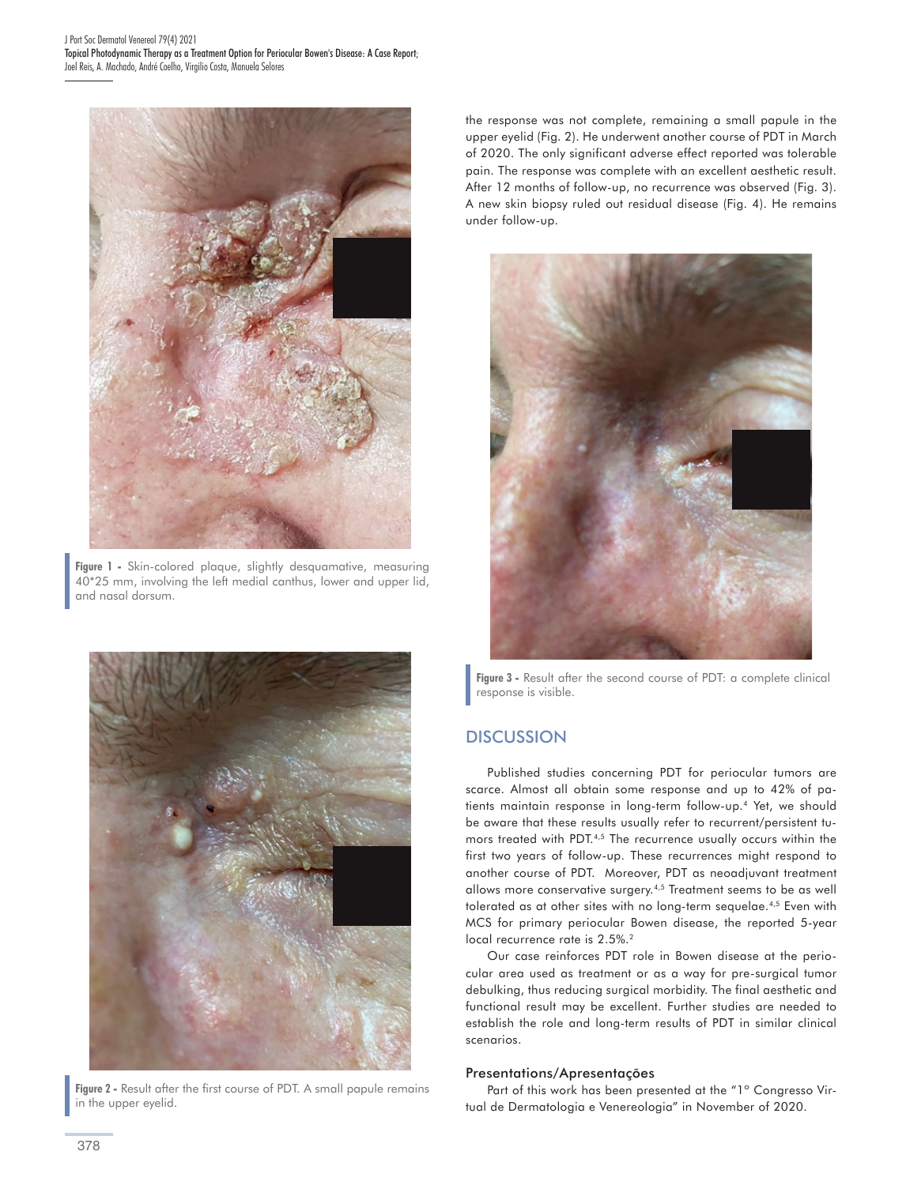

**Figure 1 -** Skin-colored plaque, slightly desquamative, measuring 40\*25 mm, involving the left medial canthus, lower and upper lid, and nasal dorsum.



**Figure 2 -** Result after the first course of PDT. A small papule remains in the upper eyelid.

the response was not complete, remaining a small papule in the upper eyelid (Fig. 2). He underwent another course of PDT in March of 2020. The only significant adverse effect reported was tolerable pain. The response was complete with an excellent aesthetic result. After 12 months of follow-up, no recurrence was observed (Fig. 3). A new skin biopsy ruled out residual disease (Fig. 4). He remains under follow-up.



**Figure 3 -** Result after the second course of PDT: a complete clinical response is visible.

### **DISCUSSION**

Published studies concerning PDT for periocular tumors are scarce. Almost all obtain some response and up to 42% of patients maintain response in long-term follow-up.4 Yet, we should be aware that these results usually refer to recurrent/persistent tumors treated with PDT.4,5 The recurrence usually occurs within the first two years of follow-up. These recurrences might respond to another course of PDT. Moreover, PDT as neoadjuvant treatment allows more conservative surgery.4,5 Treatment seems to be as well tolerated as at other sites with no long-term sequelae.<sup>4,5</sup> Even with MCS for primary periocular Bowen disease, the reported 5-year local recurrence rate is 2.5%.<sup>2</sup>

Our case reinforces PDT role in Bowen disease at the periocular area used as treatment or as a way for pre-surgical tumor debulking, thus reducing surgical morbidity. The final aesthetic and functional result may be excellent. Further studies are needed to establish the role and long-term results of PDT in similar clinical scenarios.

#### Presentations/Apresentações

Part of this work has been presented at the "1° Congresso Virtual de Dermatologia e Venereologia" in November of 2020.